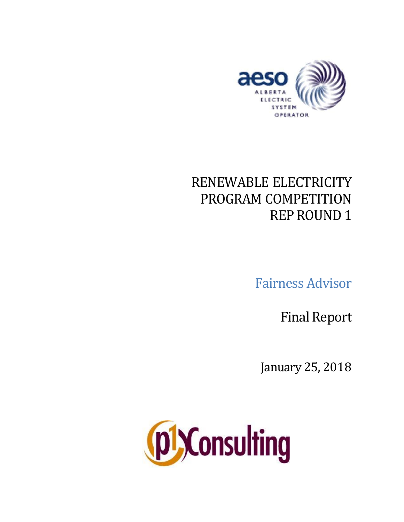

# RENEWABLE ELECTRICITY PROGRAM COMPETITION REPROUND 1

Fairness Advisor

**Final Report** 

January 25, 2018

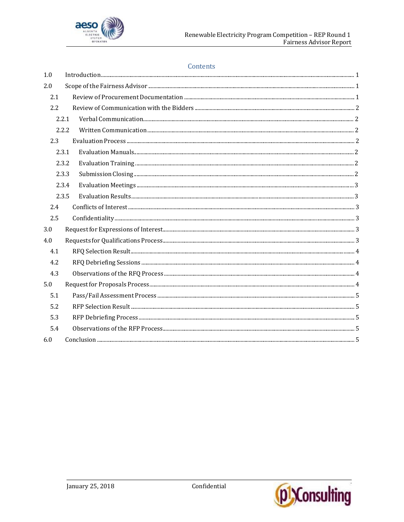

#### Contents

| 1.0   |  |
|-------|--|
| 2.0   |  |
| 2.1   |  |
| 2.2   |  |
| 2.2.1 |  |
| 2.2.2 |  |
| 2.3   |  |
| 2.3.1 |  |
| 2.3.2 |  |
| 2.3.3 |  |
| 2.3.4 |  |
| 2.3.5 |  |
| 2.4   |  |
| 2.5   |  |
| 3.0   |  |
| 4.0   |  |
| 4.1   |  |
| 4.2   |  |
| 4.3   |  |
| 5.0   |  |
| 5.1   |  |
| 5.2   |  |
| 5.3   |  |
| 5.4   |  |
| 6.0   |  |

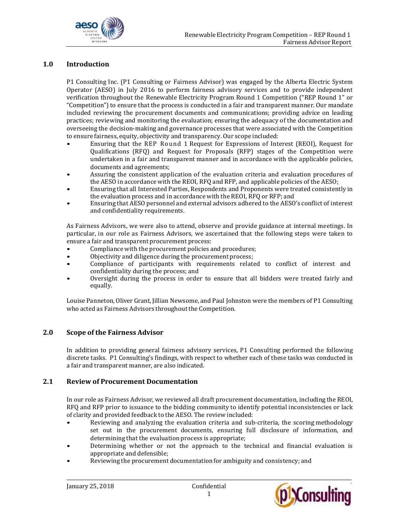

## **1.0 Introduction**

P1 Consulting Inc. (P1 Consulting or Fairness Advisor) was engaged by the Alberta Electric System Operator (AESO) in July 2016 to perform fairness advisory services and to provide independent verification throughout the Renewable Electricity Program Round 1 Competition ("REP Round 1" or "Competition") to ensure that the process is conducted in a fair and transparent manner. Our mandate included reviewing the procurement documents and communications; providing advice on leading practices; reviewing and monitoring the evaluation; ensuring the adequacy of the documentation and overseeing the decision-making and governance processes that were associated with the Competition to ensure fairness, equity, objectivity and transparency. Our scope included:

- Ensuring that the REP Round 1 Request for Expressions of Interest (REOI), Request for Qualifications (RFQ) and Request for Proposals (RFP) stages of the Competition were undertaken in a fair and transparent manner and in accordance with the applicable policies, documents and agreements;
- Assuring the consistent application of the evaluation criteria and evaluation procedures of the AESO in accordance with the REOI, RFQ and RFP, and applicable policies of the AESO;
- Ensuring that all Interested Parties, Respondents and Proponents were treated consistently in the evaluation process and in accordance with the REOI, RFQ or RFP; and
- Ensuring that AESO personnel and external advisors adhered to the AESO's conflict of interest and confidentiality requirements.

As Fairness Advisors, we were also to attend, observe and provide guidance at internal meetings. In particular, in our role as Fairness Advisors, we ascertained that the following steps were taken to ensure a fair and transparent procurement process:

- Compliance with the procurement policies and procedures;
- Objectivity and diligence during the procurement process;
- Compliance of participants with requirements related to conflict of interest and confidentiality during the process; and
- Oversight during the process in order to ensure that all bidders were treated fairly and equally.

Louise Panneton, Oliver Grant, Jillian Newsome, and Paul Johnston were the members of P1 Consulting who acted as Fairness Advisors throughout the Competition.

## **2.0 Scope of the Fairness Advisor**

In addition to providing general fairness advisory services, P1 Consulting performed the following discrete tasks. P1 Consulting's findings, with respect to whether each of these tasks was conducted in a fair and transparent manner, are also indicated.

#### **2.1 Review of Procurement Documentation**

In our role as Fairness Advisor, we reviewed all draft procurement documentation, including the REOI, RFQ and RFP prior to issuance to the bidding community to identify potential inconsistencies or lack of clarity and provided feedback to the AESO. The review included:

- Reviewing and analyzing the evaluation criteria and sub-criteria, the scoring methodology set out in the procurement documents, ensuring full disclosure of information, and determining that the evaluation process is appropriate;
- Determining whether or not the approach to the technical and financial evaluation is appropriate and defensible;
- Reviewing the procurement documentation for ambiguity and consistency; and



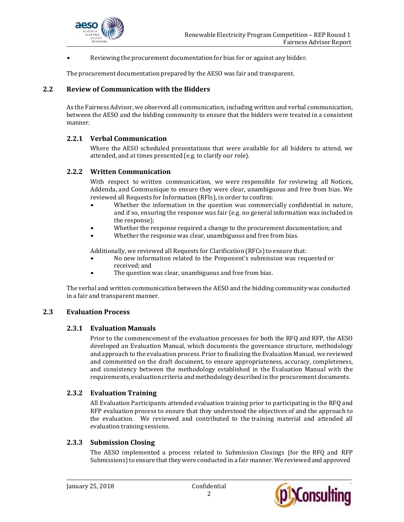

• Reviewing the procurement documentation for bias for or against any bidder.

The procurement documentation prepared by the AESO was fair and transparent.

## **2.2 Review of Communication with the Bidders**

As the Fairness Advisor, we observed all communication, including written and verbal communication, between the AESO and the bidding community to ensure that the bidders were treated in a consistent manner.

## **2.2.1 Verbal Communication**

Where the AESO scheduled presentations that were available for all bidders to attend, we attended, and at times presented (e.g. to clarify our role).

#### **2.2.2 Written Communication**

With respect to written communication, we were responsible for reviewing all Notices, Addenda, and Communique to ensure they were clear, unambiguous and free from bias. We reviewed all Requests for Information (RFIs), in order to confirm:

- Whether the information in the question was commercially confidential in nature, and if so, ensuring the response was fair (e.g. no general information was included in the response);
- Whether the response required a change to the procurement documentation; and
- Whether the response was clear, unambiguous and free from bias.

Additionally, we reviewed all Requests for Clarification (RFCs) to ensure that:

- No new information related to the Proponent's submission was requested or received; and
- The question was clear, unambiguous and free from bias.

The verbal and written communication between the AESO and the bidding community was conducted in a fair and transparent manner.

## **2.3 Evaluation Process**

#### **2.3.1 Evaluation Manuals**

Prior to the commencement of the evaluation processes for both the RFQ and RFP, the AESO developed an Evaluation Manual, which documents the governance structure, methodology and approach to the evaluation process. Prior to finalizing the Evaluation Manual, we reviewed and commented on the draft document, to ensure appropriateness, accuracy, completeness, and consistency between the methodology established in the Evaluation Manual with the requirements, evaluation criteria and methodologydescribed in the procurement documents.

## **2.3.2 Evaluation Training**

All Evaluation Participants attended evaluation training prior to participating in the RFQ and RFP evaluation process to ensure that they understood the objectives of and the approach to the evaluation. We reviewed and contributed to the training material and attended all evaluation training sessions.

## **2.3.3 Submission Closing**

The AESO implemented a process related to Submission Closings (for the RFQ and RFP Submissions) to ensure that they were conducted in a fair manner. We reviewed and approved

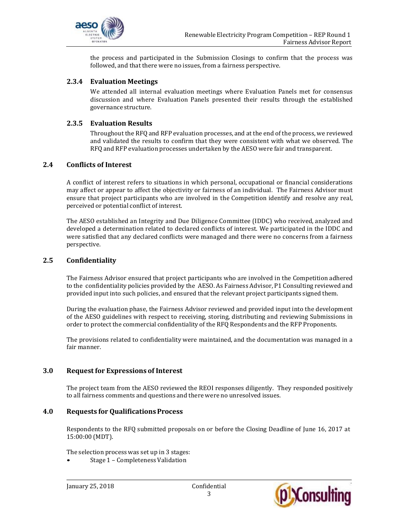

the process and participated in the Submission Closings to confirm that the process was followed, and that there were no issues, from a fairness perspective.

# **2.3.4 Evaluation Meetings**

We attended all internal evaluation meetings where Evaluation Panels met for consensus discussion and where Evaluation Panels presented their results through the established governance structure.

#### **2.3.5 Evaluation Results**

Throughout the RFQ and RFP evaluation processes, and at the end of the process, we reviewed and validated the results to confirm that they were consistent with what we observed. The RFQ and RFP evaluation processes undertaken by the AESO were fair and transparent.

## **2.4 Conflicts of Interest**

A conflict of interest refers to situations in which personal, occupational or financial considerations may affect or appear to affect the objectivity or fairness of an individual. The Fairness Advisor must ensure that project participants who are involved in the Competition identify and resolve any real, perceived or potential conflict of interest.

The AESO established an Integrity and Due Diligence Committee (IDDC) who received, analyzed and developed a determination related to declared conflicts of interest. We participated in the IDDC and were satisfied that any declared conflicts were managed and there were no concerns from a fairness perspective.

#### **2.5 Confidentiality**

The Fairness Advisor ensured that project participants who are involved in the Competition adhered to the confidentiality policies provided by the AESO. As Fairness Advisor, P1 Consulting reviewed and provided input into such policies, and ensured that the relevant project participants signed them.

During the evaluation phase, the Fairness Advisor reviewed and provided input into the development of the AESO guidelines with respect to receiving, storing, distributing and reviewing Submissions in order to protect the commercial confidentiality of the RFQ Respondents and the RFP Proponents.

The provisions related to confidentiality were maintained, and the documentation was managed in a fair manner.

#### **3.0 Request for Expressions of Interest**

The project team from the AESO reviewed the REOI responses diligently. They responded positively to all fairness comments and questions and there were no unresolved issues.

#### **4.0 Requests for QualificationsProcess**

Respondents to the RFQ submitted proposals on or before the Closing Deadline of June 16, 2017 at 15:00:00 (MDT).

The selection process was set up in 3 stages:

• Stage 1 – Completeness Validation

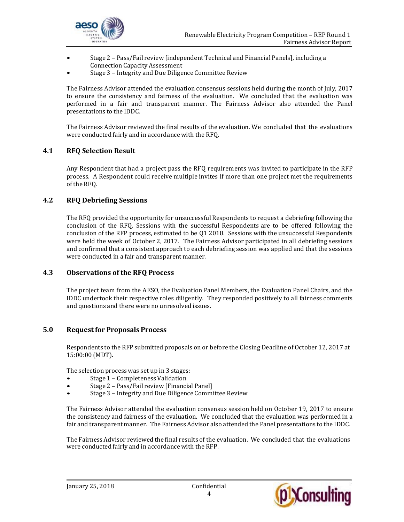

- Stage 2 Pass/Fail review [independent Technical and Financial Panels], including a Connection Capacity Assessment
- Stage 3 Integrity and Due Diligence Committee Review

The Fairness Advisor attended the evaluation consensus sessions held during the month of July, 2017 to ensure the consistency and fairness of the evaluation. We concluded that the evaluation was performed in a fair and transparent manner. The Fairness Advisor also attended the Panel presentations to the IDDC.

The Fairness Advisor reviewed the final results of the evaluation. We concluded that the evaluations were conducted fairly and in accordancewith the RFQ.

# **4.1 RFQ Selection Result**

Any Respondent that had a project pass the RFQ requirements was invited to participate in the RFP process. A Respondent could receive multiple invites if more than one project met the requirements of the RFQ.

# **4.2 RFQ Debriefing Sessions**

The RFQ provided the opportunity for unsuccessful Respondents to request a debriefing following the conclusion of the RFQ. Sessions with the successful Respondents are to be offered following the conclusion of the RFP process, estimated to be Q1 2018. Sessions with the unsuccessful Respondents were held the week of October 2, 2017. The Fairness Advisor participated in all debriefing sessions and confirmed that a consistent approach to each debriefing session was applied and that the sessions were conducted in a fair and transparent manner.

## **4.3 Observations of the RFQ Process**

The project team from the AESO, the Evaluation Panel Members, the Evaluation Panel Chairs, and the IDDC undertook their respective roles diligently. They responded positively to all fairness comments and questions and there were no unresolved issues.

## **5.0 Request for Proposals Process**

Respondents to the RFP submitted proposals on or before the Closing Deadline of October 12, 2017 at 15:00:00 (MDT).

The selection process was set up in 3 stages:

- Stage 1 Completeness Validation
- Stage 2 Pass/Fail review [Financial Panel]
- Stage 3 Integrity and Due Diligence Committee Review

The Fairness Advisor attended the evaluation consensus session held on October 19, 2017 to ensure the consistency and fairness of the evaluation. We concluded that the evaluation was performed in a fair and transparent manner. The Fairness Advisor also attended the Panel presentations to the IDDC.

The Fairness Advisor reviewed the final results of the evaluation. We concluded that the evaluations were conducted fairly and in accordancewith the RFP.